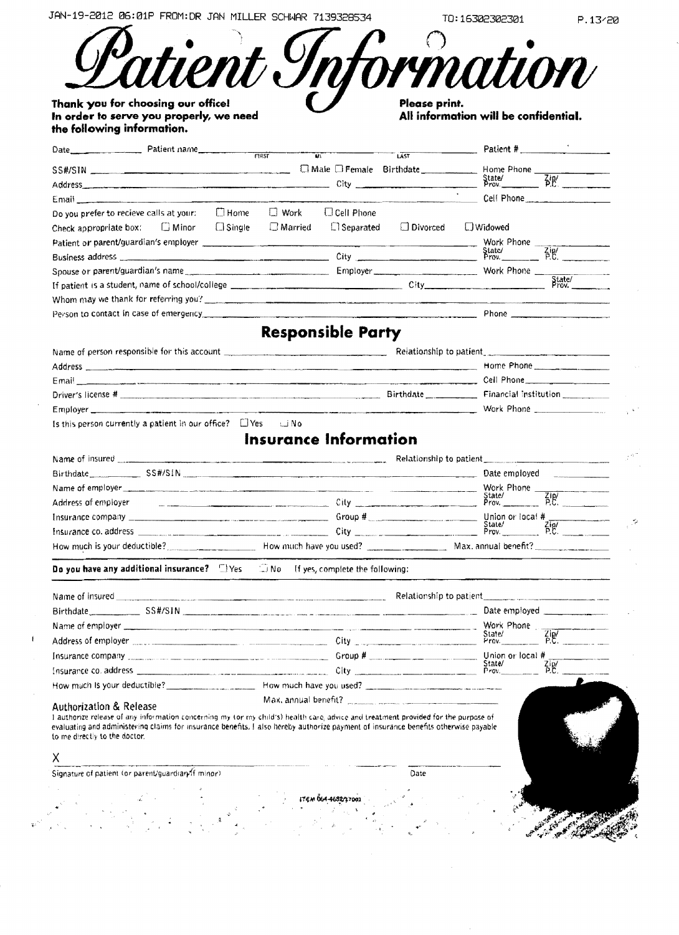| Thank you for choosing our office!<br>In order to serve you properly, we need<br>the following information.                                                                                                                                                                                                                                      |                                       | Please print.        | All information will be confidential. |
|--------------------------------------------------------------------------------------------------------------------------------------------------------------------------------------------------------------------------------------------------------------------------------------------------------------------------------------------------|---------------------------------------|----------------------|---------------------------------------|
| Date Patient name $\frac{1}{111}$ Patient $\frac{1}{111}$ Patient $\frac{1}{111}$ Patient $\frac{1}{111}$                                                                                                                                                                                                                                        |                                       |                      |                                       |
|                                                                                                                                                                                                                                                                                                                                                  |                                       |                      |                                       |
| $SSH/ S IN$<br>Address City City City City City Prov. $\frac{1}{PIC}$                                                                                                                                                                                                                                                                            |                                       |                      |                                       |
| Email Cell Phone                                                                                                                                                                                                                                                                                                                                 |                                       |                      |                                       |
| Do you prefer to recieve calls at your: [ ] Home [ ] Work                                                                                                                                                                                                                                                                                        | C Cell Phone                          |                      |                                       |
| Check appropriate box: $\Box$ Minor $\Box$ Single                                                                                                                                                                                                                                                                                                | $\square$ Married<br>$\Box$ Separated | □ Divorced □ Widowed |                                       |
|                                                                                                                                                                                                                                                                                                                                                  |                                       |                      |                                       |
|                                                                                                                                                                                                                                                                                                                                                  |                                       |                      |                                       |
|                                                                                                                                                                                                                                                                                                                                                  |                                       |                      |                                       |
|                                                                                                                                                                                                                                                                                                                                                  |                                       |                      |                                       |
|                                                                                                                                                                                                                                                                                                                                                  |                                       |                      |                                       |
| Person to contact in case of emergency. The contract of the contract of the contract in case of emergency.                                                                                                                                                                                                                                       |                                       |                      |                                       |
|                                                                                                                                                                                                                                                                                                                                                  | <b>Responsible Party</b>              |                      |                                       |
|                                                                                                                                                                                                                                                                                                                                                  |                                       |                      |                                       |
|                                                                                                                                                                                                                                                                                                                                                  |                                       |                      |                                       |
| Email Cell Phone Contract Contract Contract Contract Contract Contract Contract Contract Contract Contract Contract Contract Contract Contract Contract Contract Contract Contract Contract Contract Contract Contract Contrac                                                                                                                   |                                       |                      |                                       |
|                                                                                                                                                                                                                                                                                                                                                  |                                       |                      |                                       |
|                                                                                                                                                                                                                                                                                                                                                  |                                       |                      |                                       |
|                                                                                                                                                                                                                                                                                                                                                  |                                       |                      |                                       |
| Name of insured entertainment and the contract of the contract of the contract of the contract of the contract of the contract of the contract of the contract of the contract of the contract of the contract of the contract                                                                                                                   |                                       |                      |                                       |
|                                                                                                                                                                                                                                                                                                                                                  |                                       |                      |                                       |
| Address of employer<br>Address of employer City City Prov. Prov.                                                                                                                                                                                                                                                                                 |                                       |                      |                                       |
|                                                                                                                                                                                                                                                                                                                                                  |                                       | Group~#              | Union or local #                      |
|                                                                                                                                                                                                                                                                                                                                                  |                                       |                      |                                       |
| How much is your deductible? How much have you used? Max. annual benefit?                                                                                                                                                                                                                                                                        |                                       |                      |                                       |
| Do you have any additional insurance? $\Box$ Yes $\Box$ No If yes, complete the following:                                                                                                                                                                                                                                                       |                                       |                      |                                       |
|                                                                                                                                                                                                                                                                                                                                                  |                                       |                      |                                       |
|                                                                                                                                                                                                                                                                                                                                                  |                                       |                      |                                       |
|                                                                                                                                                                                                                                                                                                                                                  |                                       |                      |                                       |
| Name of employer Name of employer State of the Changes of the Changes of the Changes of the Changes of the Changes of the Changes of the Changes of the Changes of the Changes of the Changes of the Changes of the Changes of                                                                                                                   |                                       |                      |                                       |
|                                                                                                                                                                                                                                                                                                                                                  |                                       |                      |                                       |
|                                                                                                                                                                                                                                                                                                                                                  |                                       |                      |                                       |
|                                                                                                                                                                                                                                                                                                                                                  |                                       |                      |                                       |
| <b>Authorization &amp; Release</b><br>I authorize release of any information concerning my tor my child's) health care, advice and treatment provided for the purpose of<br>evaluating and administering claims for insurance benefits. I also hereby authorize payment of insurance benefits otherwise payable<br>to me directly to the doctor. | Max. annual benefit?                  |                      |                                       |
| X                                                                                                                                                                                                                                                                                                                                                |                                       |                      |                                       |
| Signature of patient (or parent/guardiary) minor).                                                                                                                                                                                                                                                                                               |                                       | <b>Date</b>          |                                       |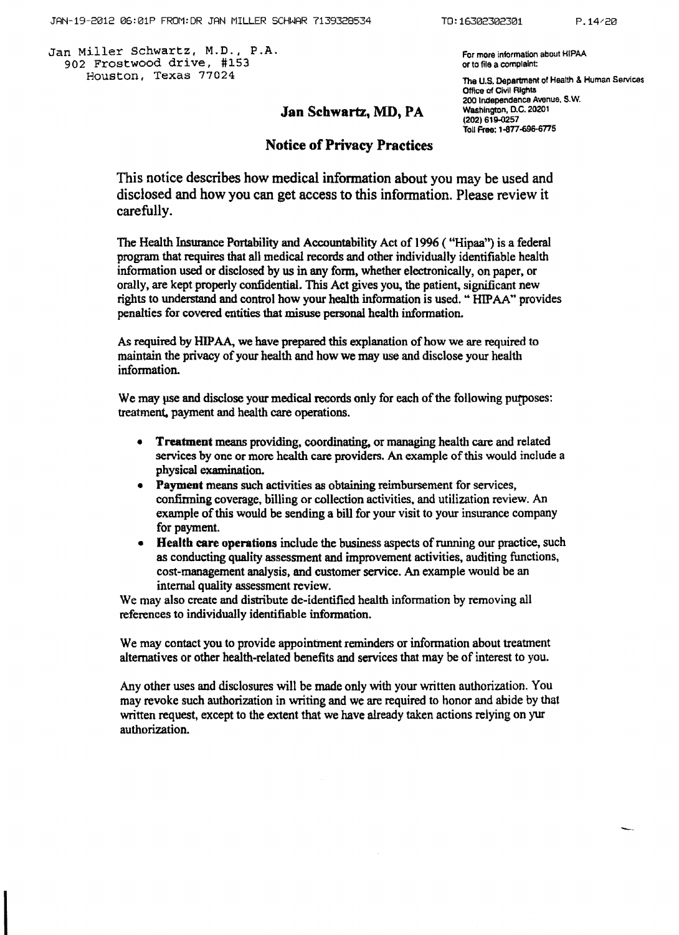Jan Miller Schwartz, M.D., P.A.<br>902 Frostwood drive, #153 ertofile a complaint 902 Frostwood drive, #153<br>Houston, Texas 77024

Jan Schwartz, MD, PA

## Notice of Privacy Practices

This notice describes how medical information about you may be used and disclosed and how you can get access to this information. Please review it carefully.

The Health Insurance Portability and Accountability Act of 1996 ( "Hipaa") is a federal program that requires that all medical records and other individually identifiable health information used or disclosed by us in any form, whether electronically, on paper, or omIly, are kept properly confidential. This Act gives you, the patient, significant new rights to understand and control how your health information is used. "HIPAA" provides penalties for covered entities that misuse personal health information.

As required by HIPAA, we have prepared this explanation of how we are required to maintain the privacy of your health and how we may use and disclose your health information.

We may use and disclose your medical records only for each of the following purposes: treatment. payment and health care operations.

- Treatment means providing, coordinating, or managing health care and related services by one or more health care providers. An example ofthis would include a physical examination.
- Payment means such activities as obtaining reimbursement for services, confirming coverage, billing or collection activities, and utilization review. An example of this would be sending a bill for your visit to your insurance company for payment.
- Health care operations include the business aspects of running our practice, such as conducting quality assessment and improvement activities, auditing functions, cost-management analysis, and customer service. An example would be an internal quality assessment review.

We may also create and distribute de-identified health information by removing all references to individually identifiable information.

We may contact you to provide appointment reminders or information about treatment alternatives or other health-related benefits and services that may be of interest to you.

Any other uses and disclosures will be made only with your written authorization. You may revoke such authorization in writing and we are required to honor and abide by that written request, except to the extent that we have already taken actions relying on yur authorization.

The U.S. Department of Health & Human Services Office of Civil Rights 200 Independence Avenue. S.W. (202) 619-0257 Toll Free: 1-877-696-6775